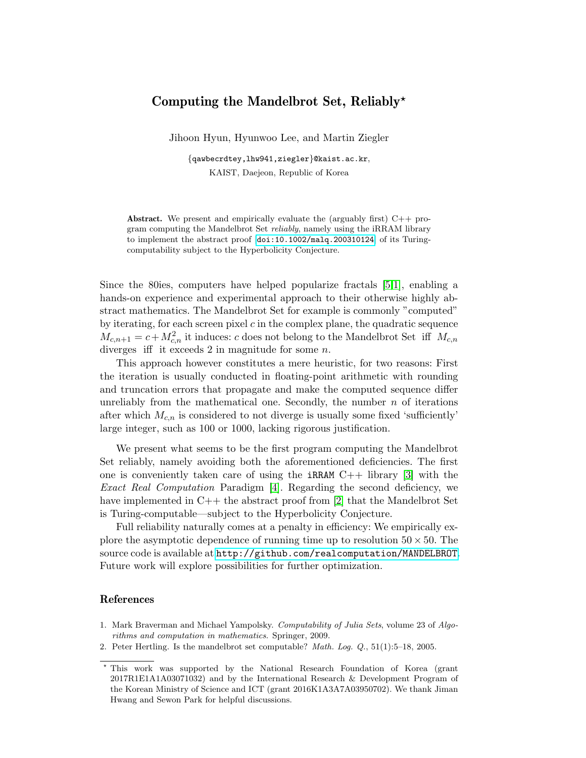## Computing the Mandelbrot Set, Reliably?

Jihoon Hyun, Hyunwoo Lee, and Martin Ziegler

{qawbecrdtey,lhw941,ziegler}@kaist.ac.kr, KAIST, Daejeon, Republic of Korea

Abstract. We present and empirically evaluate the (arguably first)  $C++$  program computing the Mandelbrot Set *reliably*, namely using the iRRAM library to implement the abstract proof [[doi:10.1002/malq.200310124](http://dx.doi.org/10.1002/malq.200310124)] of its Turingcomputability subject to the Hyperbolicity Conjecture.

Since the 80ies, computers have helped popularize fractals [\[5,](#page-1-0)[1\]](#page-0-0), enabling a hands-on experience and experimental approach to their otherwise highly abstract mathematics. The Mandelbrot Set for example is commonly "computed" by iterating, for each screen pixel  $c$  in the complex plane, the quadratic sequence  $M_{c,n+1} = c + M_{c,n}^2$  it induces: c does not belong to the Mandelbrot Set iff  $M_{c,n}$ diverges iff it exceeds  $2$  in magnitude for some  $n$ .

This approach however constitutes a mere heuristic, for two reasons: First the iteration is usually conducted in floating-point arithmetic with rounding and truncation errors that propagate and make the computed sequence differ unreliably from the mathematical one. Secondly, the number  $n$  of iterations after which  $M_{c,n}$  is considered to not diverge is usually some fixed 'sufficiently' large integer, such as 100 or 1000, lacking rigorous justification.

We present what seems to be the first program computing the Mandelbrot Set reliably, namely avoiding both the aforementioned deficiencies. The first one is conveniently taken care of using the  $iRRAM$   $C++$  library [\[3\]](#page-1-1) with the Exact Real Computation Paradigm [\[4\]](#page-1-2). Regarding the second deficiency, we have implemented in C++ the abstract proof from [\[2\]](#page-0-1) that the Mandelbrot Set is Turing-computable—subject to the Hyperbolicity Conjecture.

Full reliability naturally comes at a penalty in efficiency: We empirically explore the asymptotic dependence of running time up to resolution  $50 \times 50$ . The source code is available at <http://github.com/realcomputation/MANDELBROT>. Future work will explore possibilities for further optimization.

## References

- <span id="page-0-0"></span>1. Mark Braverman and Michael Yampolsky. Computability of Julia Sets, volume 23 of Algorithms and computation in mathematics. Springer, 2009.
- <span id="page-0-1"></span>2. Peter Hertling. Is the mandelbrot set computable? Math. Log. Q., 51(1):5–18, 2005.

<sup>?</sup> This work was supported by the National Research Foundation of Korea (grant 2017R1E1A1A03071032) and by the International Research & Development Program of the Korean Ministry of Science and ICT (grant 2016K1A3A7A03950702). We thank Jiman Hwang and Sewon Park for helpful discussions.